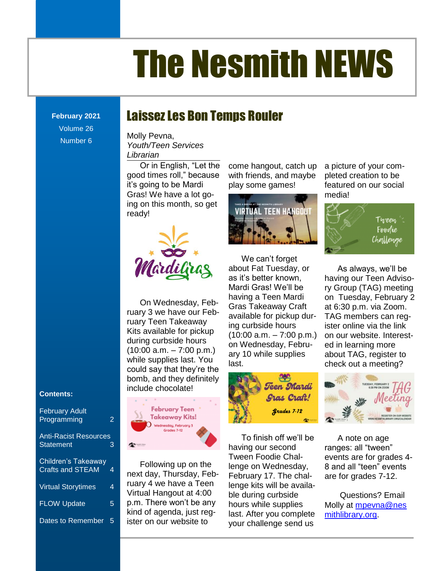# The Nesmith NEWS

**February 2021** Volume 26 Number 6

## Laissez Les Bon Temps Rouler

Youth/Teen Services The Nesmith NEWS ...............................................................................................................................................................................1 Molly Pevna, *Librarian*

Gras! We have a lot go-**nerice Corner and Accord and Accord and Accord and Accord and Accord and Accord and Accord a** Or in English, "Let the good times roll," because it's going to be Mardi ready!



Kits available for pickup the sense of the common second that the first research in the second second that the second in the second second in the second second in the second second in the second second in the second second during curbside hours on Wednesday February on our website. interest-<br>during curbside hours on Wednesday February and in looming more could say that they're the **complete the state of the state of the state of the state of the state of the state of the state of the state of the state of the state of the state of the state of the state of the state of the** s include chocolate! ruary 3 we have our February Teen Takeaway  $(10:00$  a.m.  $-7:00$  p.m.) while supplies last. You bomb, and they definitely



Following up on the next day, Thursday, February 4 we have a Teen Virtual Hangout at 4:00 p.m. There won't be any kind of agenda, just register on our website to

r in English, "Let the come hangout, catch up a picture of your comtimes roll," because with friends, and maybe pleted creation to be new DVD, and DVD, and History of the History of the first of the first of the first of the first of the first o<br>ing to be Mardi by some games! featured on our social play some games!



We can't forget about Fat Tuesday, or as it's better known, Mardi Gras! We'll be having a Teen Mardi Gras Takeaway Craft available for pickup during curbside hours  $(10:00 a.m. - 7:00 p.m.)$ on Wednesday, February 10 while supplies last.



To finish off we'll be having our second Tween Foodie Challenge on Wednesday, February 17. The challenge kits will be available during curbside hours while supplies last. After you complete your challenge send us

s .......................................................................................................................................................... **Error! Bookmark not defined.** a picture of your completed creation to be media!



Mardi Gras! We'll be ry Group (TAG) meeting n Wedneedey, Eeb baving a Teen Mardi on Tuesday, February 2 On Wednesday, Feb- having a recordinate the massagy, repriary 2 n weunesuay, rep-<br>a we have our Feb Gras Takeaway Craft at 6:30 p.m. via Zoom. S we have our rieu-<br>Tags Takesway Teen Takeaway ing curbside hours ister online via the link From the Children's Room: February Vacation Programs................................................................... **Error! Bookmark not defined.** ed in learning more b a.m. = r.bb p.m.) ary 10 while supplies about TAG, register to supplies last. You last. **Examples in the Children's Room.**<br>check out a meeting? As always, we'll be having our Teen Advisoon our website. Interest-



A note on age ranges: all "tween" events are for grades 4- 8 and all "teen" events are for grades 7-12.

Questions? Email Molly at mpevna@nes mithlibrary.org.

#### **Contents:**

February Adult Programming 2

| <b>Anti-Racist Resources</b><br><b>Statement</b> | 3 |
|--------------------------------------------------|---|
| Children's Takeaway<br><b>Crafts and STEAM</b>   | 4 |
| <b>Virtual Storytimes</b>                        | 4 |
| <b>FLOW Update</b>                               | 5 |
| Dates to Remember                                | 5 |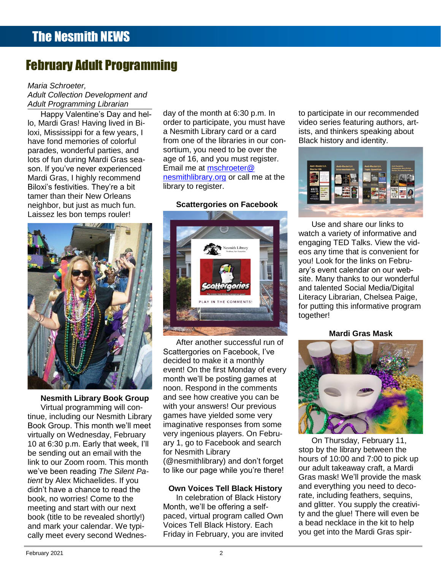## February Adult Programming

#### Adult Collection Development and The News Action News Action News Action News Action News Action News Action News Action News Action News Action *Maria Schroeter, Adult Programming Librarian*

Happy Valentine's Day and hello, Mardi Gras! Having lived in Biloxi, Mississippi for a few years, I have fond memories of colorful lots of fun during Mardi Gras sea-Mardi Gras, I highly recommend tamer than their New Orleans neighbor, but just as much fun. Laissez les bon temps rouler!



**Nesmith Library Book Group**

Virtual programming will continue, including our Nesmith Library Book Group. This month we'll meet virtually on Wednesday, February 10 at 6:30 p.m. Early that week, I'll be sending out an email with the link to our Zoom room. This month we've been reading *The Silent Patient* by Alex Michaelides. If you didn't have a chance to read the book, no worries! Come to the meeting and start with our next book (title to be revealed shortly!) and mark your calendar. We typically meet every second Wednes-

lappy Valentine's Day and hel- day of the month at 6:30 p.m. In to participate in our recommended ardi Gras! Having lived in Bi- order to participate, you must have video series featuring authors, art-Mississippi for a few years, I a Nesmith Library card or a card ists, and thinkers speaking about fond memories of colorful from one of the libraries in our con-<br>Black history and identity. Tond memories of coloridiant corners of the libraries in our corners black material definity.<br>des, wonderful parties, and sortium, you need to be over the parades, wonderful parties, and sortium, you need to be over the source the service of the service of the service of the service of the service of the service of the service of the service of the service of the service of day of the month at 6:30 p.m. In a Nesmith Library card or a card Email me at mschroeter@ library to register.

#### **Scattergories on Facebook**



After another successful run of Scattergories on Facebook, I've decided to make it a monthly event! On the first Monday of every month we'll be posting games at noon. Respond in the comments and see how creative you can be with your answers! Our previous games have yielded some very imaginative responses from some very ingenious players. On February 1, go to Facebook and search for Nesmith Library (@nesmithlibrary) and don't forget

to like our page while you're there!

#### **Own Voices Tell Black History**

In celebration of Black History Month, we'll be offering a selfpaced, virtual program called Own Voices Tell Black History. Each Friday in February, you are invited video series featuring authors, art-Black history and identity.



Use and share our links to together!

#### **Mardi Gras Mask**



On Thursday, February 11, stop by the library between the hours of 10:00 and 7:00 to pick up our adult takeaway craft, a Mardi Gras mask! We'll provide the mask and everything you need to decorate, including feathers, sequins, and glitter. You supply the creativity and the glue! There will even be a bead necklace in the kit to help you get into the Mardi Gras spir-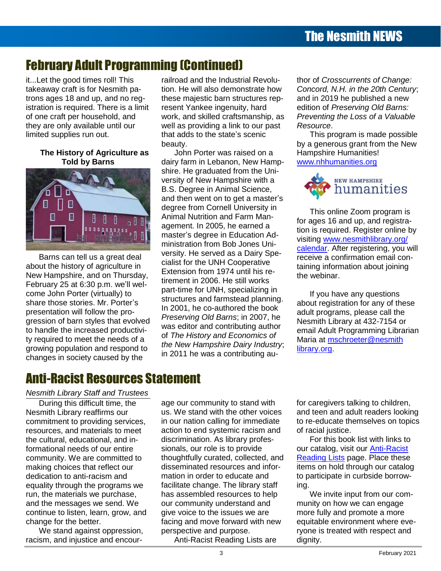## February Adult Programming (Continued)

it...Let the good times roll! This takeaway craft is for Nesmith patrons ages 18 and up, and no reg-**Contents** istration is required. There is a limit of one craft per household, and they are only available until our limited supplies run out.

# **Told by Barns**



Barns can tell us a great deal about the history of agriculture in February 25 at 6:30 p.m. we'll welcome John Porter (virtually) to share those stories. Mr. Porter's presentation will follow the progression of barn styles that evolved to handle the increased productivito nandle the increased productivi-<br>ty required to meet the needs of a growing population and respond to changes in society caused by the

railroad and the Industrial Revolution. He will also demonstrate how these majestic barn structures represent Yankee ingenuity, hard e craft per household, and work, and skilled craftsmanship, as Preventing the Loss of a Valuable are only available until our well as providing a link to our past Resource. the only available and our weil as providing a link to our past the secured.<br>If supplies run out. This program is made possible beauty. ation is required. There is a limit resent Yankee ingenuity, hard edition of Preserving Old Barns: d supplies run out. **Execute 1** that adds to the state's scenic **Execute 1** This program is made possible by a generous grant from the New The Reference Corner: Pollution .........................................................................................................**Error! Bookmark not defined.**

**The History of Agriculture as** John Porter was raised on a Hampshire Humanities! New Hampshire, and on Thursday, Littlension from 1974 until his re-<br>New Hampshire, and on Thursday, the state of the still wants the webinar. John Porter was raised on a Told by Barns **Example 1** dairy farm in Lebanon, New Hamp- **www.nhhumanities.org** From the Uni-<br>Shire. He graduated from the University of New Hampshire with a New Non-Fiction Titles in the Children's Room ...................................................................................**Error! Bookmark not defined.** B.S. Degree in Animal Science, WAY humanities and then went on to get a master's degree from Cornell University in Animal Nutrition and Farm Management. In 2005, he earned a  $\blacksquare$ ministration from Bob Jones Uni-<br>
ministration from Bob Jones University. He served as a Dairy Spe-<br>2006.com toll use a great deal versity. He served as a Dairy Specialist for the UNH Cooperative Extension from 1974 until his reramponing, and on marbady, tirement in 2006. He still works the webmar. rary 25 at 6.30 p.m. we if wer-<br>Take Dortor (virtually) to **part-time for UNH, specializing in** the Hilvou boye any quostions structures and farmstead planning. From the Children's Room: February Vacation Programs ...................................................................**Error! Bookmark not defined.** In 2001, he co-authored the book  $P$  reserving Old Barns; in 2007, he additional programs, produced the contract of  $P$  and  $P$  reserving Old Barns; in 2007, he additional programs, produced an increase  $P$ was editor and contributing author of *The History and Economics of the New Hampshire Dairy Industry*; in 2011 he was a contributing auarns can tell us a great deal existing the served as a Dairy Ope-<br>eceive a confirmation email conthe history of agriculture in  $\Gamma$  claims for the UNE COOPETAILLY taining information about joining those stories. Mr. Porter's **The Contract of these and lattified planning** about registration for any of these ntation will follow the pro-<br> **Express the Old Person in 2007** be adult programs, please call the Toddler Story Time ..............................................................................................................................**Error! Bookmark not defined.**

thor of *Crosscurrents of Change: Concord, N.H. in the 20th Century*; and in 2019 he published a new *Preventing the Loss of a Valuable Resource*.

Hampshire Humanities! www.nhhumanities.org



This online Zoom program is for ages 16 and up, and registration is required. Register online by visiting www.nesmithlibrary.org/ calendar. After registering, you will the webinar.

If you have any questions Nesmith Library at 432-7154 or email Adult Programming Librarian Maria at mschroeter@nesmith library.org.

## Anti-Racist Resources Statement

#### *Nesmith Library Staff and Trustees*

**Contents** Nesmith Library reaffirms our During this difficult time, the commitment to providing services, resources, and materials to meet the cultural, educational, and informational needs of our entire community. We are committed to making choices that reflect our dedication to anti-racism and equality through the programs we run, the materials we purchase, and the messages we send. We continue to listen, learn, grow, and change for the better.

**Contra against oppression,**<br>
racism, and injustice and encour-We stand against oppression,

rces, and materials to meet action to end systemic racism and of racial justice. near, and matemate to meet the discrimination. As library profes-<br>Itural, educational, and in-<br> new and the declared in the constitution. As in any protes-<br>Itional needs of our entire sionals, our role is to provide our catalog, visit our <u>Anti-Racist</u> tional needs of our entire sionals, our role is to provide our catalog, visit our Anti-Racist nunity. We are committed to entity thoughtfully curated, collected, and entity and Lists page. Place these ig choices that reflect our exploseminated resources and infor-<br>items on hold through our catalog out the Digital Challenge.<br>The Digital Challenge in the participate in curbside borrow-From the Children's Room: February Vacation Programs ...................................................................**Error! Bookmark not defined.** ity through the programs we facilitate change. The library staff ing. ne materials we purchase, has assembled resources to help we invite input from our comne messages we send. We cour community understand and in munity on how we can engage age our community to stand with us. We stand with the other voices in our nation calling for immediate thoughtfully curated, collected, and disseminated resources and information in order to educate and give voice to the issues we are facing and move forward with new perspective and purpose. Anti-Racist Reading Lists are

mitment to providing services, in our nation calling for immediate to re-educate themselves on topics for caregivers talking to children, and teen and adult readers looking of racial justice.

For this book list with links to ing.

We invite input from our community on how we can engage more fully and promote a more equitable environment where everyone is treated with respect and dignity.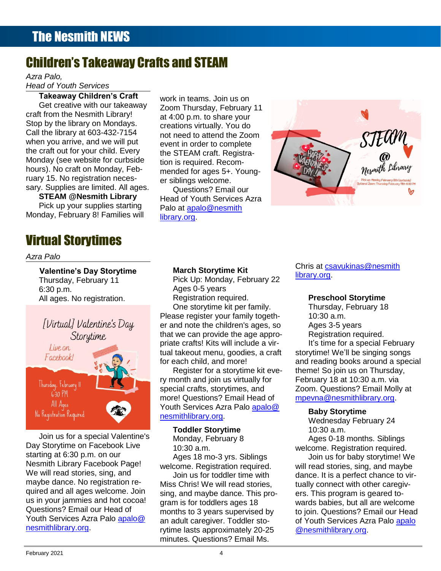## Children's Takeaway Crafts and STEAM

*Azra Palo, Head of Youth Services*

### **Takeaway Children's Craft**

Call the library at 603-432-7154 when you arrive, and we will put hours). No craft on Monday, February 15. No registration neces-

#### **STEAM @Nesmith Library**

**Contents** Pick up your supplies starting Monday, February 8! Families will

#### The Nesmith NEWS............................................................................................................................................................................... 1 Supreme Court Cases .........................................................................................................................**Error! Bookmark not defined.** Virtual Storytimes Dreams ................................................................................................................................................**Error! Bookmark not defined.**

New DVD.............................................................................................................................................**Error! Bookmark not defined.** *Azra Palo*

Thursday, February 11 6:30 p.m.



Indian Storythine<br>Join us for a special Valentine's Monday February 8 Mages 0-18 months. Siblings Nesmith Library Facebook Page! welcome. Registration required. Will read stories sing and maybe We will read stories, sing, and<br>Loin us for toddler time with and the perfect chance to vir-Questions? Email our Head of Day Storytime on Facebook Live starting at 6:30 p.m. on our maybe dance. No registration required and all ages welcome. Join us in your jammies and hot cocoa! Youth Services Azra Palo apalo@ nesmithlibrary.org.

work in teams. Join us on Zoom Thursday, February 11 at 4:00 p.m. to share your the STEAM craft. Registra-

Questions? Email our Head of Youth Services Azra Palo at apalo@nesmith library.org.



#### **March Storytime Kit**

Thursday, February 11 **Example 2** Pick Up: Monday, February 22 **Thursday, Property Associates**  $Ages 0-5 years$ <br>30 p.m. oo p.m.<br>I ages. No registration. Registration required. **Preschool Storytime** All ages. No registration. **Example 2 Registration required. Preschool Storytime Example 2018** One storytime kit per family. Thursday, February 18  $P$ lease register your family togeth-  $10:30$  a.m. Virtual, Valentine's Day her and note the children's ages, so heges 3-5 years Storutime. That we can provide the age appro-<br> **Storutime.** That we can provide the age appro-<br> **Registration required.** From the Children's Room: February Vacation Programs ...................................................................**Error! Bookmark not defined.** priate crafts! Kits will include a vir-The ort **Story Time of the Story Time of the Story Time of the Story of Time of the Story of Time of the Story I** New Non-Fiction Titles in the Children's Room ...................................................................................**Error! Bookmark not defined.** for each child, and more!

**Registration Required** Constitution of the New Storytime is a second that the constitution of the constitution of the constitution of the constitution of the constitution of the constitution of the constitution of the con Register for a storytime kit every month and join us virtually for special crafts, storytimes, and more! Questions? Email Head of Youth Services Azra Palo apalo@ nesmithlibrary.org.

Monday, February 8 10:30 a.m.

Ages 18 mo-3 yrs. Siblings welcome. Registration required.

Join us for toddler time with Miss Chris! We will read stories, gram is for toddlers ages 18 months to 3 years supervised by an adult caregiver. Toddler storytime lasts approximately 20-25 minutes. Questions? Email Ms.

s...........................................................................................................................................................**Error! Bookmark not defined.** Chris at csavukinas@nesmith Valentine's Day Storytime **Commark is a Content of the Content of the Storytime Kit** library.org.

#### **Preschool Storytime**

decount of the state of the state of the state of the state of the state of the state of the state of the state of the state of the state of the state of the state of the state of the state of the state of the state of the Thursday, February 18 10:30 a.m. Ages 3-5 years Registration required. It's time for a special February storytime! We'll be singing songs theme! So join us on Thursday, February 18 at 10:30 a.m. via Zoom. Questions? Email Molly at mpevna@nesmithlibrary.org.

Dreams ................................................................................................................................................**Error! Bookmark not defined. Toddler Storytime** 10:30 a.m.

lin us for a special Valentine's the Monday, February 8 the second of Ages 0-18 months. Siblings The Corytime on Facebook Live the Action 20130 a.m. The Corner of Melcome. Registration required.

ng at 6:30 p.m. on our example and Ages 18 mo-3 yrs. Siblings and Join us for baby storytime! We III read stories, sing, and **Interpretent and Italy and Italy of Stories** Join us for toddler time with dance. It is a perfect chance to vire dance. No registration re-<br>Miss Chris! We will read stories, the lually connect with other caregiv-1 and all ages welcome. Join exampled maybe dance. This pro-ers. This program is geared towill read stories, sing, and maybe ers. This program is geared towards babies, but all are welcome to join. Questions? Email our Head of Youth Services Azra Palo apalo @nesmithlibrary.org.